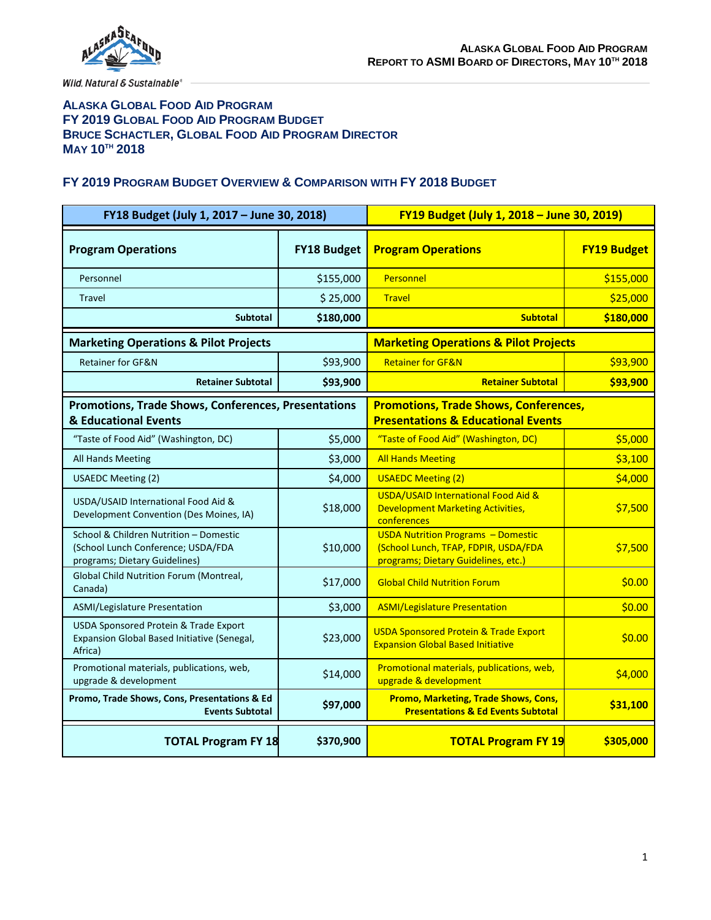

### **ALASKA GLOBAL FOOD AID PROGRAM FY 2019 GLOBAL FOOD AID PROGRAM BUDGET BRUCE SCHACTLER, GLOBAL FOOD AID PROGRAM DIRECTOR MAY 10TH 2018**

#### **FY 2019 PROGRAM BUDGET OVERVIEW & COMPARISON WITH FY 2018 BUDGET**

| FY18 Budget (July 1, 2017 - June 30, 2018)                                                                    |                    | FY19 Budget (July 1, 2018 - June 30, 2019)                                                                               |                    |
|---------------------------------------------------------------------------------------------------------------|--------------------|--------------------------------------------------------------------------------------------------------------------------|--------------------|
| <b>Program Operations</b>                                                                                     | <b>FY18 Budget</b> | <b>Program Operations</b>                                                                                                | <b>FY19 Budget</b> |
| Personnel                                                                                                     | \$155,000          | Personnel                                                                                                                | \$155,000          |
| <b>Travel</b>                                                                                                 | \$25,000           | <b>Travel</b>                                                                                                            | \$25,000           |
| <b>Subtotal</b>                                                                                               | \$180,000          | <b>Subtotal</b>                                                                                                          | \$180,000          |
| <b>Marketing Operations &amp; Pilot Projects</b>                                                              |                    | <b>Marketing Operations &amp; Pilot Projects</b>                                                                         |                    |
| <b>Retainer for GF&amp;N</b>                                                                                  | \$93,900           | <b>Retainer for GF&amp;N</b>                                                                                             | \$93,900           |
| <b>Retainer Subtotal</b>                                                                                      | \$93,900           | <b>Retainer Subtotal</b>                                                                                                 | \$93,900           |
| <b>Promotions, Trade Shows, Conferences, Presentations</b><br>& Educational Events                            |                    | <b>Promotions, Trade Shows, Conferences,</b><br><b>Presentations &amp; Educational Events</b>                            |                    |
| "Taste of Food Aid" (Washington, DC)                                                                          | \$5,000            | "Taste of Food Aid" (Washington, DC)                                                                                     | \$5,000            |
| All Hands Meeting                                                                                             | \$3,000            | <b>All Hands Meeting</b>                                                                                                 | \$3,100            |
| <b>USAEDC Meeting (2)</b>                                                                                     | \$4,000            | <b>USAEDC Meeting (2)</b>                                                                                                | \$4,000            |
| USDA/USAID International Food Aid &<br>Development Convention (Des Moines, IA)                                | \$18,000           | USDA/USAID International Food Aid &<br><b>Development Marketing Activities,</b><br>conferences                           | \$7,500            |
| School & Children Nutrition - Domestic<br>(School Lunch Conference; USDA/FDA<br>programs; Dietary Guidelines) | \$10,000           | <b>USDA Nutrition Programs - Domestic</b><br>(School Lunch, TFAP, FDPIR, USDA/FDA<br>programs; Dietary Guidelines, etc.) | \$7,500            |
| Global Child Nutrition Forum (Montreal,<br>Canada)                                                            | \$17,000           | <b>Global Child Nutrition Forum</b>                                                                                      | \$0.00             |
| ASMI/Legislature Presentation                                                                                 | \$3,000            | <b>ASMI/Legislature Presentation</b>                                                                                     | \$0.00             |
| <b>USDA Sponsored Protein &amp; Trade Export</b><br>Expansion Global Based Initiative (Senegal,<br>Africa)    | \$23,000           | <b>USDA Sponsored Protein &amp; Trade Export</b><br><b>Expansion Global Based Initiative</b>                             | \$0.00             |
| Promotional materials, publications, web,<br>upgrade & development                                            | \$14,000           | Promotional materials, publications, web,<br>upgrade & development                                                       | \$4,000            |
| Promo, Trade Shows, Cons, Presentations & Ed<br><b>Events Subtotal</b>                                        | \$97,000           | <b>Promo, Marketing, Trade Shows, Cons,</b><br><b>Presentations &amp; Ed Events Subtotal</b>                             | \$31,100           |
| <b>TOTAL Program FY 18</b>                                                                                    | \$370,900          | <b>TOTAL Program FY 19</b>                                                                                               | \$305,000          |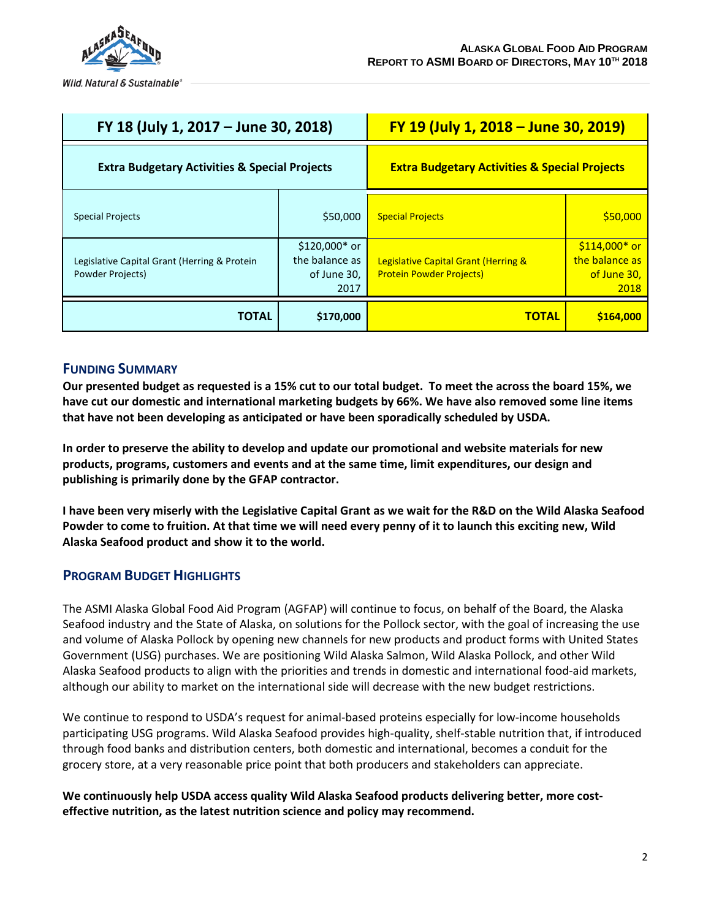

| FY 18 (July 1, 2017 – June 30, 2018)                             |                                                         | FY 19 (July 1, 2018 - June 30, 2019)                                    |                                                         |
|------------------------------------------------------------------|---------------------------------------------------------|-------------------------------------------------------------------------|---------------------------------------------------------|
| <b>Extra Budgetary Activities &amp; Special Projects</b>         |                                                         | <b>Extra Budgetary Activities &amp; Special Projects</b>                |                                                         |
| <b>Special Projects</b>                                          | \$50,000                                                | <b>Special Projects</b>                                                 | \$50,000                                                |
| Legislative Capital Grant (Herring & Protein<br>Powder Projects) | $$120,000*$ or<br>the balance as<br>of June 30,<br>2017 | Legislative Capital Grant (Herring &<br><b>Protein Powder Projects)</b> | $$114,000*$ or<br>the balance as<br>of June 30,<br>2018 |
| <b>TOTAL</b>                                                     | \$170,000                                               | <b>TOTAL</b>                                                            | \$164,000                                               |

### **FUNDING SUMMARY**

**Our presented budget as requested is a 15% cut to our total budget. To meet the across the board 15%, we have cut our domestic and international marketing budgets by 66%. We have also removed some line items that have not been developing as anticipated or have been sporadically scheduled by USDA.** 

**In order to preserve the ability to develop and update our promotional and website materials for new products, programs, customers and events and at the same time, limit expenditures, our design and publishing is primarily done by the GFAP contractor.** 

**I have been very miserly with the Legislative Capital Grant as we wait for the R&D on the Wild Alaska Seafood Powder to come to fruition. At that time we will need every penny of it to launch this exciting new, Wild Alaska Seafood product and show it to the world.**

## **PROGRAM BUDGET HIGHLIGHTS**

The ASMI Alaska Global Food Aid Program (AGFAP) will continue to focus, on behalf of the Board, the Alaska Seafood industry and the State of Alaska, on solutions for the Pollock sector, with the goal of increasing the use and volume of Alaska Pollock by opening new channels for new products and product forms with United States Government (USG) purchases. We are positioning Wild Alaska Salmon, Wild Alaska Pollock, and other Wild Alaska Seafood products to align with the priorities and trends in domestic and international food-aid markets, although our ability to market on the international side will decrease with the new budget restrictions.

We continue to respond to USDA's request for animal-based proteins especially for low-income households participating USG programs. Wild Alaska Seafood provides high-quality, shelf-stable nutrition that, if introduced through food banks and distribution centers, both domestic and international, becomes a conduit for the grocery store, at a very reasonable price point that both producers and stakeholders can appreciate.

**We continuously help USDA access quality Wild Alaska Seafood products delivering better, more costeffective nutrition, as the latest nutrition science and policy may recommend.**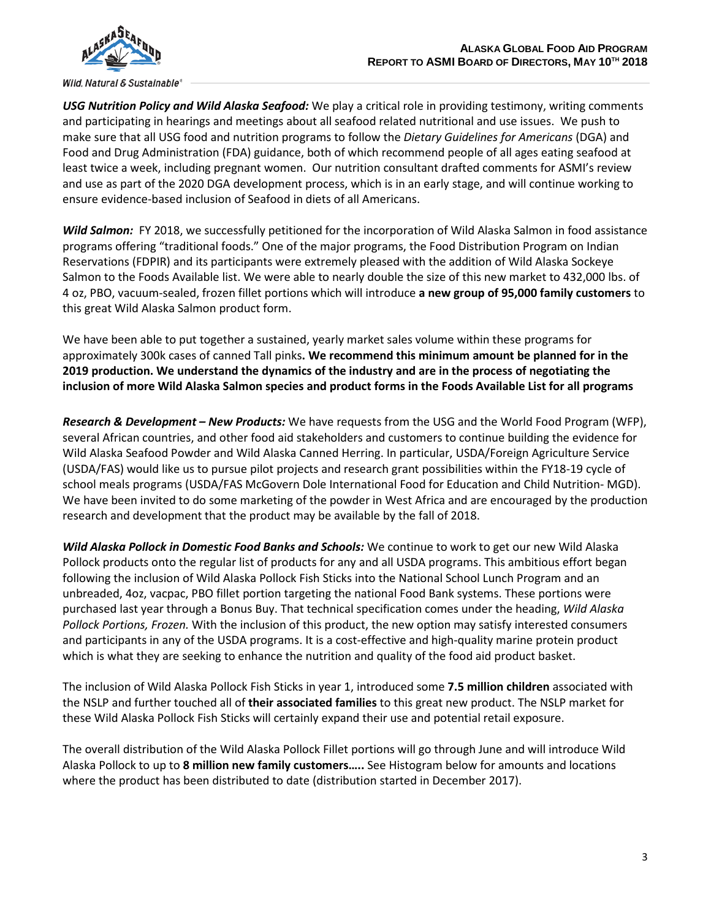

*USG Nutrition Policy and Wild Alaska Seafood:* We play a critical role in providing testimony, writing comments and participating in hearings and meetings about all seafood related nutritional and use issues. We push to make sure that all USG food and nutrition programs to follow the *Dietary Guidelines for Americans* (DGA) and Food and Drug Administration (FDA) guidance, both of which recommend people of all ages eating seafood at least twice a week, including pregnant women. Our nutrition consultant drafted comments for ASMI's review and use as part of the 2020 DGA development process, which is in an early stage, and will continue working to ensure evidence-based inclusion of Seafood in diets of all Americans.

*Wild Salmon:* FY 2018, we successfully petitioned for the incorporation of Wild Alaska Salmon in food assistance programs offering "traditional foods." One of the major programs, the Food Distribution Program on Indian Reservations (FDPIR) and its participants were extremely pleased with the addition of Wild Alaska Sockeye Salmon to the Foods Available list. We were able to nearly double the size of this new market to 432,000 lbs. of 4 oz, PBO, vacuum-sealed, frozen fillet portions which will introduce **a new group of 95,000 family customers** to this great Wild Alaska Salmon product form.

We have been able to put together a sustained, yearly market sales volume within these programs for approximately 300k cases of canned Tall pinks**. We recommend this minimum amount be planned for in the 2019 production. We understand the dynamics of the industry and are in the process of negotiating the inclusion of more Wild Alaska Salmon species and product forms in the Foods Available List for all programs**

*Research & Development – New Products:* We have requests from the USG and the World Food Program (WFP), several African countries, and other food aid stakeholders and customers to continue building the evidence for Wild Alaska Seafood Powder and Wild Alaska Canned Herring. In particular, USDA/Foreign Agriculture Service (USDA/FAS) would like us to pursue pilot projects and research grant possibilities within the FY18-19 cycle of school meals programs (USDA/FAS McGovern Dole International Food for Education and Child Nutrition- MGD). We have been invited to do some marketing of the powder in West Africa and are encouraged by the production research and development that the product may be available by the fall of 2018.

*Wild Alaska Pollock in Domestic Food Banks and Schools:* We continue to work to get our new Wild Alaska Pollock products onto the regular list of products for any and all USDA programs. This ambitious effort began following the inclusion of Wild Alaska Pollock Fish Sticks into the National School Lunch Program and an unbreaded, 4oz, vacpac, PBO fillet portion targeting the national Food Bank systems. These portions were purchased last year through a Bonus Buy. That technical specification comes under the heading, *Wild Alaska Pollock Portions, Frozen.* With the inclusion of this product, the new option may satisfy interested consumers and participants in any of the USDA programs. It is a cost-effective and high-quality marine protein product which is what they are seeking to enhance the nutrition and quality of the food aid product basket.

The inclusion of Wild Alaska Pollock Fish Sticks in year 1, introduced some **7.5 million children** associated with the NSLP and further touched all of **their associated families** to this great new product. The NSLP market for these Wild Alaska Pollock Fish Sticks will certainly expand their use and potential retail exposure.

The overall distribution of the Wild Alaska Pollock Fillet portions will go through June and will introduce Wild Alaska Pollock to up to **8 million new family customers…..** See Histogram below for amounts and locations where the product has been distributed to date (distribution started in December 2017).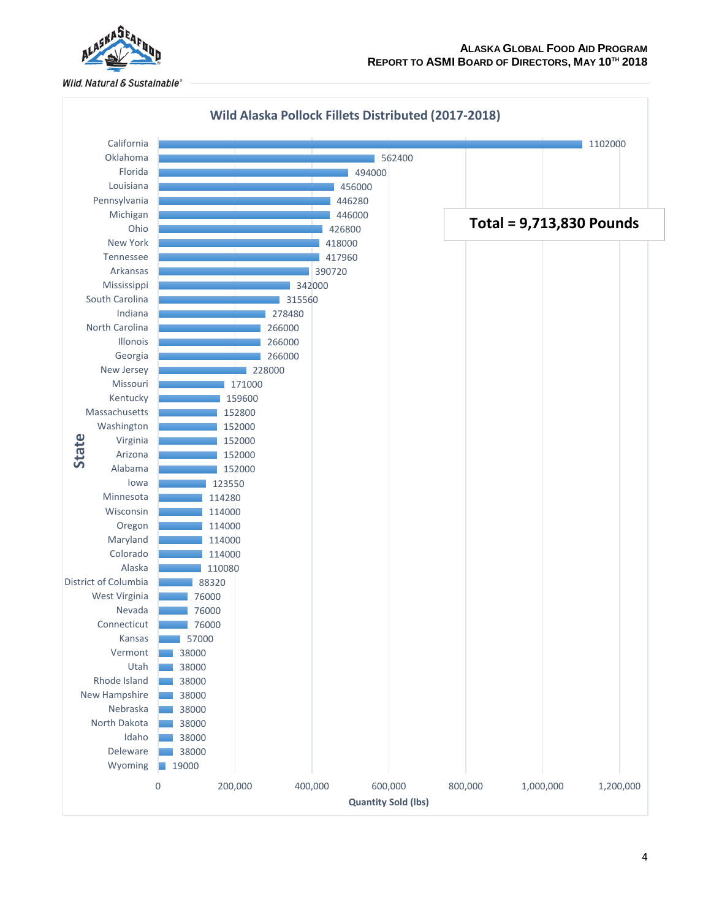

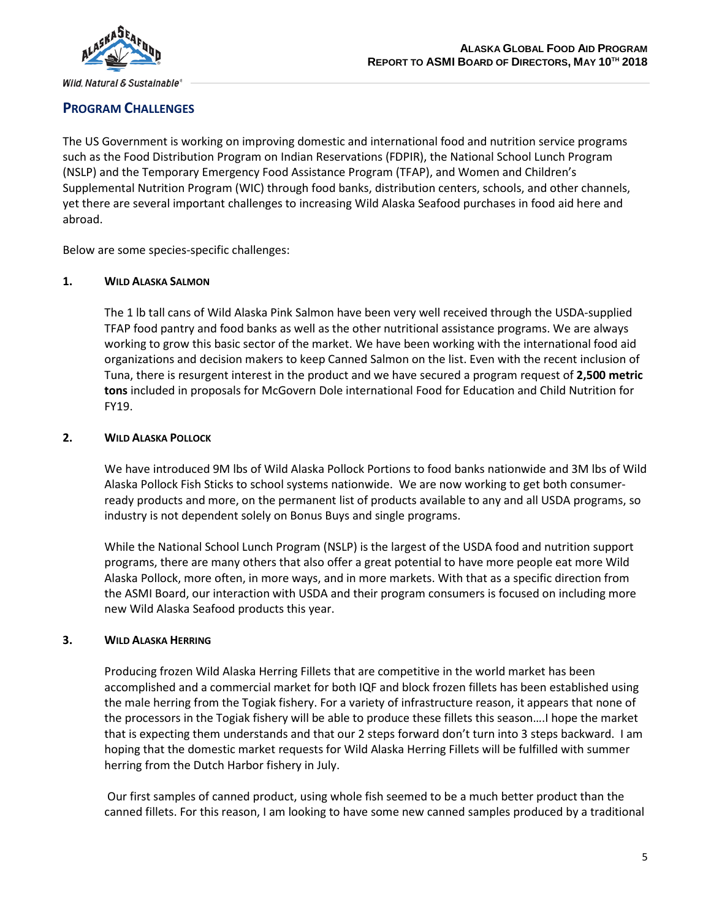

# **PROGRAM CHALLENGES**

The US Government is working on improving domestic and international food and nutrition service programs such as the Food Distribution Program on Indian Reservations (FDPIR), the National School Lunch Program (NSLP) and the Temporary Emergency Food Assistance Program (TFAP), and Women and Children's Supplemental Nutrition Program (WIC) through food banks, distribution centers, schools, and other channels, yet there are several important challenges to increasing Wild Alaska Seafood purchases in food aid here and abroad.

Below are some species-specific challenges:

### **1. WILD ALASKA SALMON**

The 1 lb tall cans of Wild Alaska Pink Salmon have been very well received through the USDA-supplied TFAP food pantry and food banks as well as the other nutritional assistance programs. We are always working to grow this basic sector of the market. We have been working with the international food aid organizations and decision makers to keep Canned Salmon on the list. Even with the recent inclusion of Tuna, there is resurgent interest in the product and we have secured a program request of **2,500 metric tons** included in proposals for McGovern Dole international Food for Education and Child Nutrition for FY19.

### **2. WILD ALASKA POLLOCK**

We have introduced 9M lbs of Wild Alaska Pollock Portions to food banks nationwide and 3M lbs of Wild Alaska Pollock Fish Sticks to school systems nationwide. We are now working to get both consumerready products and more, on the permanent list of products available to any and all USDA programs, so industry is not dependent solely on Bonus Buys and single programs.

While the National School Lunch Program (NSLP) is the largest of the USDA food and nutrition support programs, there are many others that also offer a great potential to have more people eat more Wild Alaska Pollock, more often, in more ways, and in more markets. With that as a specific direction from the ASMI Board, our interaction with USDA and their program consumers is focused on including more new Wild Alaska Seafood products this year.

#### **3. WILD ALASKA HERRING**

Producing frozen Wild Alaska Herring Fillets that are competitive in the world market has been accomplished and a commercial market for both IQF and block frozen fillets has been established using the male herring from the Togiak fishery. For a variety of infrastructure reason, it appears that none of the processors in the Togiak fishery will be able to produce these fillets this season….I hope the market that is expecting them understands and that our 2 steps forward don't turn into 3 steps backward. I am hoping that the domestic market requests for Wild Alaska Herring Fillets will be fulfilled with summer herring from the Dutch Harbor fishery in July.

Our first samples of canned product, using whole fish seemed to be a much better product than the canned fillets. For this reason, I am looking to have some new canned samples produced by a traditional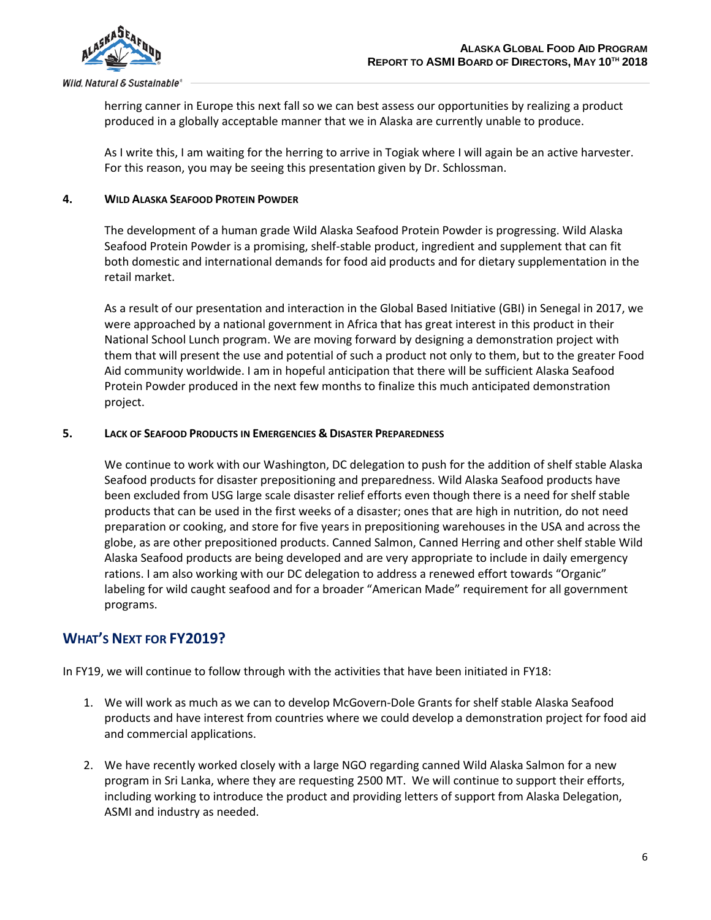

herring canner in Europe this next fall so we can best assess our opportunities by realizing a product produced in a globally acceptable manner that we in Alaska are currently unable to produce.

As I write this, I am waiting for the herring to arrive in Togiak where I will again be an active harvester. For this reason, you may be seeing this presentation given by Dr. Schlossman.

#### **4. WILD ALASKA SEAFOOD PROTEIN POWDER**

The development of a human grade Wild Alaska Seafood Protein Powder is progressing. Wild Alaska Seafood Protein Powder is a promising, shelf-stable product, ingredient and supplement that can fit both domestic and international demands for food aid products and for dietary supplementation in the retail market.

As a result of our presentation and interaction in the Global Based Initiative (GBI) in Senegal in 2017, we were approached by a national government in Africa that has great interest in this product in their National School Lunch program. We are moving forward by designing a demonstration project with them that will present the use and potential of such a product not only to them, but to the greater Food Aid community worldwide. I am in hopeful anticipation that there will be sufficient Alaska Seafood Protein Powder produced in the next few months to finalize this much anticipated demonstration project.

#### **5. LACK OF SEAFOOD PRODUCTS IN EMERGENCIES & DISASTER PREPAREDNESS**

We continue to work with our Washington, DC delegation to push for the addition of shelf stable Alaska Seafood products for disaster prepositioning and preparedness. Wild Alaska Seafood products have been excluded from USG large scale disaster relief efforts even though there is a need for shelf stable products that can be used in the first weeks of a disaster; ones that are high in nutrition, do not need preparation or cooking, and store for five years in prepositioning warehouses in the USA and across the globe, as are other prepositioned products. Canned Salmon, Canned Herring and other shelf stable Wild Alaska Seafood products are being developed and are very appropriate to include in daily emergency rations. I am also working with our DC delegation to address a renewed effort towards "Organic" labeling for wild caught seafood and for a broader "American Made" requirement for all government programs.

# **WHAT'S NEXT FOR FY2019?**

In FY19, we will continue to follow through with the activities that have been initiated in FY18:

- 1. We will work as much as we can to develop McGovern-Dole Grants for shelf stable Alaska Seafood products and have interest from countries where we could develop a demonstration project for food aid and commercial applications.
- 2. We have recently worked closely with a large NGO regarding canned Wild Alaska Salmon for a new program in Sri Lanka, where they are requesting 2500 MT. We will continue to support their efforts, including working to introduce the product and providing letters of support from Alaska Delegation, ASMI and industry as needed.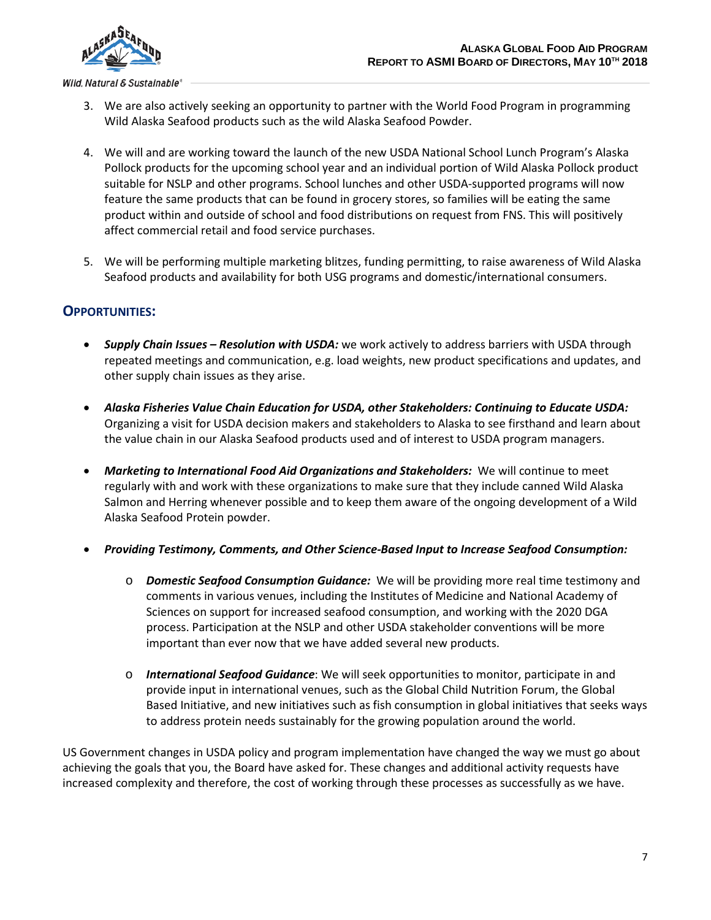

- 3. We are also actively seeking an opportunity to partner with the World Food Program in programming Wild Alaska Seafood products such as the wild Alaska Seafood Powder.
- 4. We will and are working toward the launch of the new USDA National School Lunch Program's Alaska Pollock products for the upcoming school year and an individual portion of Wild Alaska Pollock product suitable for NSLP and other programs. School lunches and other USDA-supported programs will now feature the same products that can be found in grocery stores, so families will be eating the same product within and outside of school and food distributions on request from FNS. This will positively affect commercial retail and food service purchases.
- 5. We will be performing multiple marketing blitzes, funding permitting, to raise awareness of Wild Alaska Seafood products and availability for both USG programs and domestic/international consumers.

# **OPPORTUNITIES:**

- *Supply Chain Issues – Resolution with USDA:* we work actively to address barriers with USDA through repeated meetings and communication, e.g. load weights, new product specifications and updates, and other supply chain issues as they arise.
- *Alaska Fisheries Value Chain Education for USDA, other Stakeholders: Continuing to Educate USDA:* Organizing a visit for USDA decision makers and stakeholders to Alaska to see firsthand and learn about the value chain in our Alaska Seafood products used and of interest to USDA program managers.
- *Marketing to International Food Aid Organizations and Stakeholders:* We will continue to meet regularly with and work with these organizations to make sure that they include canned Wild Alaska Salmon and Herring whenever possible and to keep them aware of the ongoing development of a Wild Alaska Seafood Protein powder.
- *Providing Testimony, Comments, and Other Science-Based Input to Increase Seafood Consumption:*
	- o *Domestic Seafood Consumption Guidance:* We will be providing more real time testimony and comments in various venues, including the Institutes of Medicine and National Academy of Sciences on support for increased seafood consumption, and working with the 2020 DGA process. Participation at the NSLP and other USDA stakeholder conventions will be more important than ever now that we have added several new products.
	- o *International Seafood Guidance*: We will seek opportunities to monitor, participate in and provide input in international venues, such as the Global Child Nutrition Forum, the Global Based Initiative, and new initiatives such as fish consumption in global initiatives that seeks ways to address protein needs sustainably for the growing population around the world.

US Government changes in USDA policy and program implementation have changed the way we must go about achieving the goals that you, the Board have asked for. These changes and additional activity requests have increased complexity and therefore, the cost of working through these processes as successfully as we have.